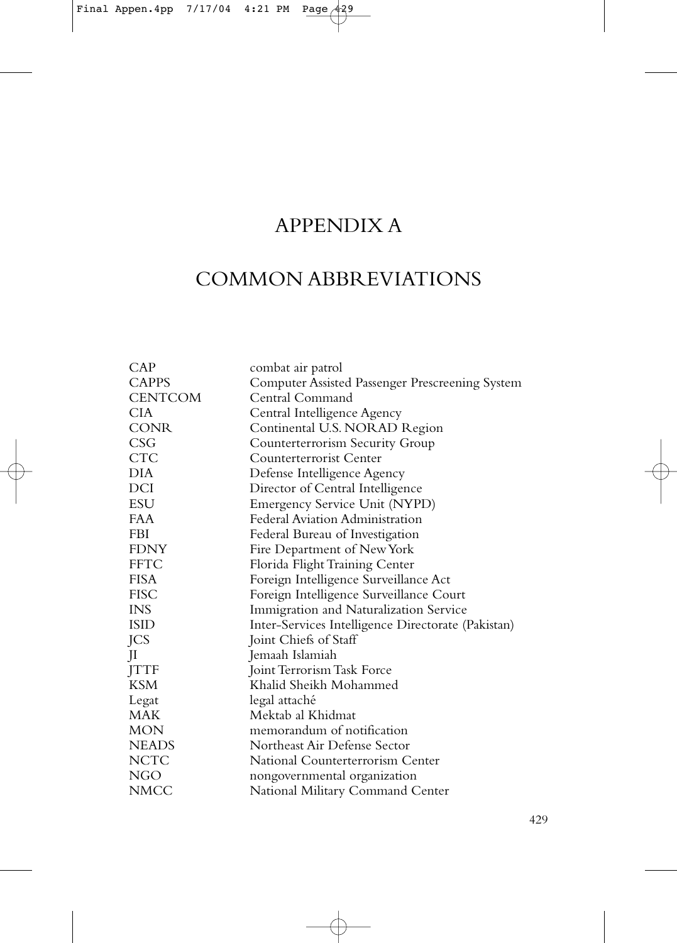# APPENDIX A

# COMMON ABBREVIATIONS

| CAP            | combat air patrol                                  |
|----------------|----------------------------------------------------|
| <b>CAPPS</b>   | Computer Assisted Passenger Prescreening System    |
| <b>CENTCOM</b> | Central Command                                    |
| CIA.           | Central Intelligence Agency                        |
| <b>CONR</b>    | Continental U.S. NORAD Region                      |
| CSG            | Counterterrorism Security Group                    |
| <b>CTC</b>     | Counterterrorist Center                            |
| DIA            | Defense Intelligence Agency                        |
| DCI            | Director of Central Intelligence                   |
| ESU            | Emergency Service Unit (NYPD)                      |
| FAA            | Federal Aviation Administration                    |
| FBI            | Federal Bureau of Investigation                    |
| <b>FDNY</b>    | Fire Department of New York                        |
| <b>FFTC</b>    | Florida Flight Training Center                     |
| <b>FISA</b>    | Foreign Intelligence Surveillance Act              |
| <b>FISC</b>    | Foreign Intelligence Surveillance Court            |
| INS.           | Immigration and Naturalization Service             |
| <b>ISID</b>    | Inter-Services Intelligence Directorate (Pakistan) |
| JCS            | Joint Chiefs of Staff                              |
| JI             | Jemaah Islamiah                                    |
| <b>JTTF</b>    | Joint Terrorism Task Force                         |
| <b>KSM</b>     | Khalid Sheikh Mohammed                             |
| Legat          | legal attaché                                      |
| <b>MAK</b>     | Mektab al Khidmat                                  |
| MON            | memorandum of notification                         |
| <b>NEADS</b>   | Northeast Air Defense Sector                       |
| <b>NCTC</b>    | National Counterterrorism Center                   |
| NGO            | nongovernmental organization                       |
| NMCC           | National Military Command Center                   |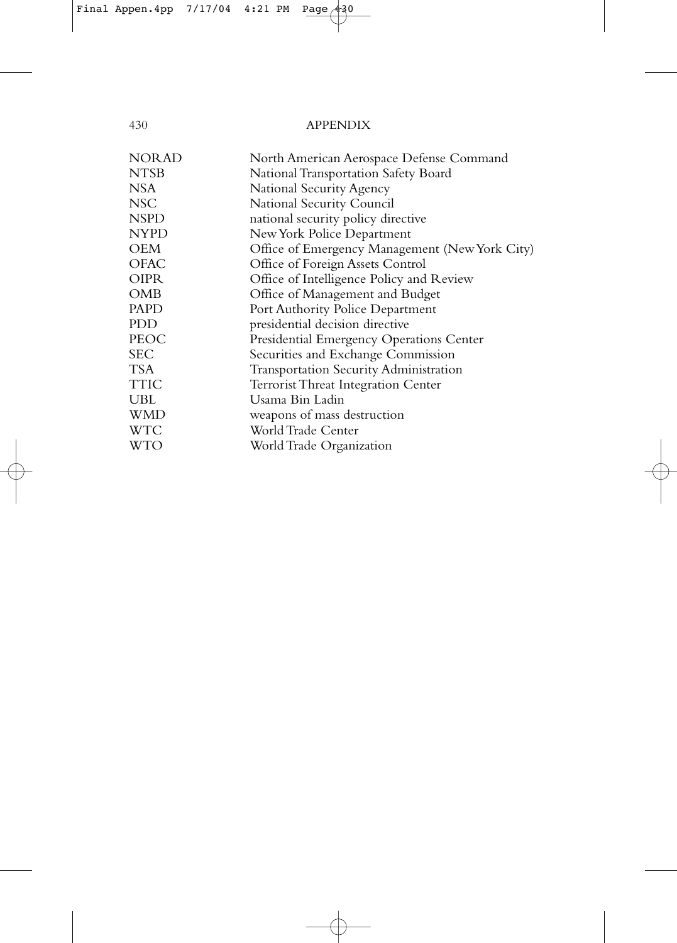| <b>NORAD</b> | North American Aerospace Defense Command       |
|--------------|------------------------------------------------|
| <b>NTSB</b>  | National Transportation Safety Board           |
| NSA          | National Security Agency                       |
| <b>NSC</b>   | National Security Council                      |
| <b>NSPD</b>  | national security policy directive             |
| <b>NYPD</b>  | New York Police Department                     |
| <b>OEM</b>   | Office of Emergency Management (New York City) |
| <b>OFAC</b>  | Office of Foreign Assets Control               |
| <b>OIPR</b>  | Office of Intelligence Policy and Review       |
| OMB          | Office of Management and Budget                |
| <b>PAPD</b>  | Port Authority Police Department               |
| <b>PDD</b>   | presidential decision directive                |
| PEOC         | Presidential Emergency Operations Center       |
| <b>SEC</b>   | Securities and Exchange Commission             |
| <b>TSA</b>   | Transportation Security Administration         |
| TTIC         | <b>Terrorist Threat Integration Center</b>     |
| UBL          | Usama Bin Ladin                                |
| WMD          | weapons of mass destruction                    |
| WTC          | World Trade Center                             |
| WTO          | World Trade Organization                       |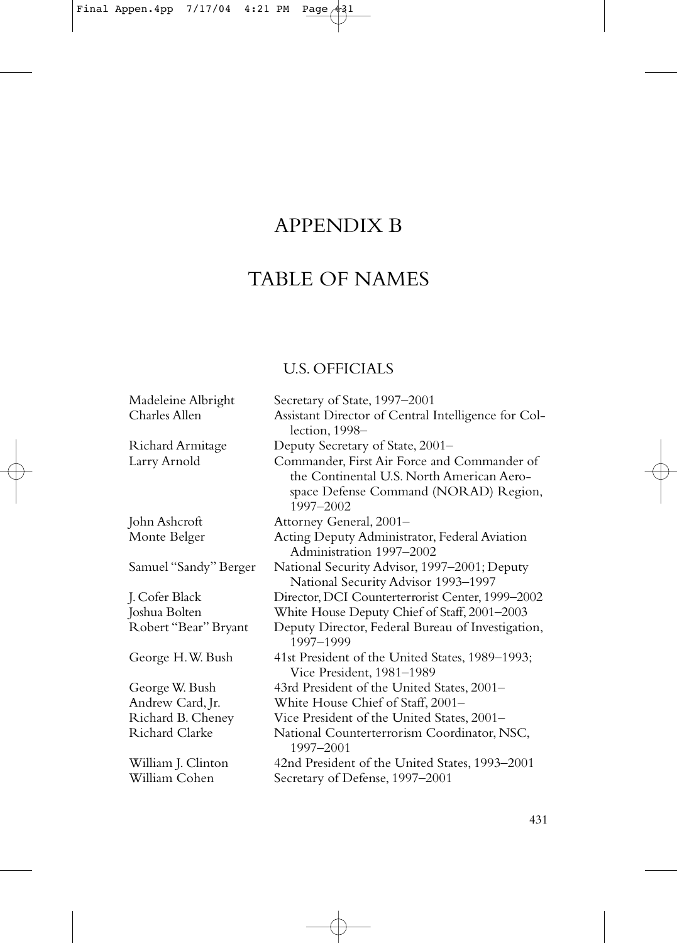# APPENDIX B

# TABLE OF NAMES

# U.S. OFFICIALS

Madeleine Albright Secretary of State, 1997–2001

| Charles Allen           | Assistant Director of Central Intelligence for Col-<br>lection, 1998-                                                                          |
|-------------------------|------------------------------------------------------------------------------------------------------------------------------------------------|
| Richard Armitage        | Deputy Secretary of State, 2001-                                                                                                               |
| Larry Arnold            | Commander, First Air Force and Commander of<br>the Continental U.S. North American Aero-<br>space Defense Command (NORAD) Region,<br>1997-2002 |
| John Ashcroft           | Attorney General, 2001-                                                                                                                        |
| Monte Belger            | Acting Deputy Administrator, Federal Aviation<br>Administration 1997-2002                                                                      |
| Samuel ''Sandy'' Berger | National Security Advisor, 1997-2001; Deputy<br>National Security Advisor 1993-1997                                                            |
| J. Cofer Black          | Director, DCI Counterterrorist Center, 1999-2002                                                                                               |
| Joshua Bolten           | White House Deputy Chief of Staff, 2001-2003                                                                                                   |
| Robert ''Bear'' Bryant  | Deputy Director, Federal Bureau of Investigation,<br>1997-1999                                                                                 |
| George H.W. Bush        | 41st President of the United States, 1989–1993;<br>Vice President, 1981-1989                                                                   |
| George W. Bush          | 43rd President of the United States, 2001–                                                                                                     |
| Andrew Card, Jr.        | White House Chief of Staff, 2001–                                                                                                              |
| Richard B. Cheney       | Vice President of the United States, 2001-                                                                                                     |
| Richard Clarke          | National Counterterrorism Coordinator, NSC,<br>1997-2001                                                                                       |
| William J. Clinton      | 42nd President of the United States, 1993-2001                                                                                                 |
| William Cohen           | Secretary of Defense, 1997-2001                                                                                                                |
|                         |                                                                                                                                                |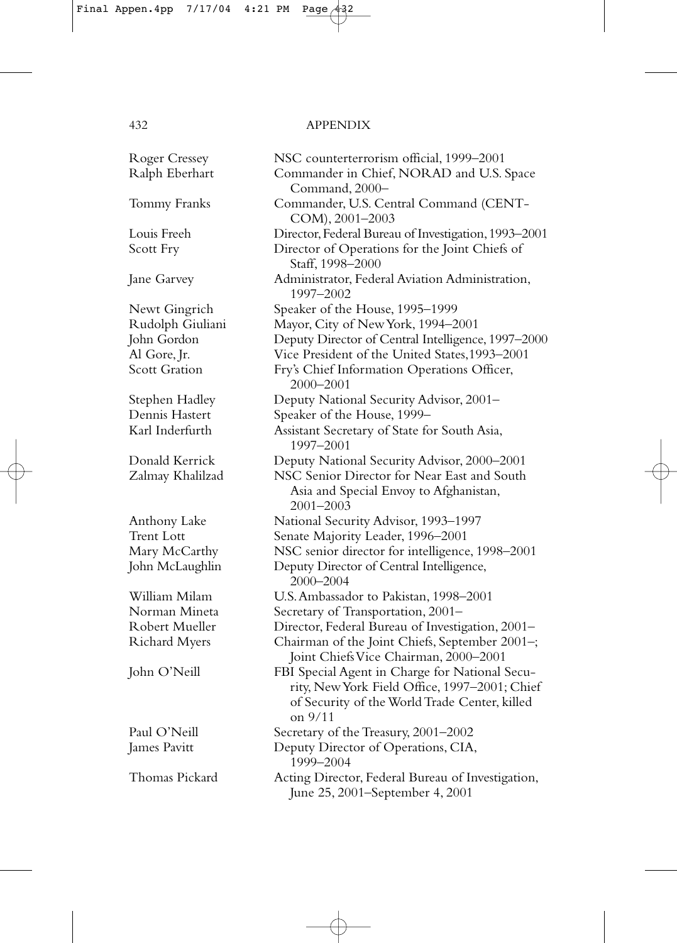| <b>Roger Cressey</b> | NSC counterterrorism official, 1999-2001                                                                                                                      |
|----------------------|---------------------------------------------------------------------------------------------------------------------------------------------------------------|
| Ralph Eberhart       | Commander in Chief, NORAD and U.S. Space<br>Command, 2000-                                                                                                    |
| Tommy Franks         | Commander, U.S. Central Command (CENT-<br>COM), 2001-2003                                                                                                     |
| Louis Freeh          | Director, Federal Bureau of Investigation, 1993-2001                                                                                                          |
| Scott Fry            | Director of Operations for the Joint Chiefs of<br>Staff, 1998-2000                                                                                            |
| Jane Garvey          | Administrator, Federal Aviation Administration,<br>1997-2002                                                                                                  |
| Newt Gingrich        | Speaker of the House, 1995-1999                                                                                                                               |
| Rudolph Giuliani     | Mayor, City of New York, 1994-2001                                                                                                                            |
| John Gordon          | Deputy Director of Central Intelligence, 1997-2000                                                                                                            |
| Al Gore, Jr.         | Vice President of the United States, 1993-2001                                                                                                                |
| <b>Scott Gration</b> | Fry's Chief Information Operations Officer,<br>2000-2001                                                                                                      |
| Stephen Hadley       | Deputy National Security Advisor, 2001-                                                                                                                       |
| Dennis Hastert       | Speaker of the House, 1999-                                                                                                                                   |
| Karl Inderfurth      | Assistant Secretary of State for South Asia,<br>1997-2001                                                                                                     |
| Donald Kerrick       | Deputy National Security Advisor, 2000-2001                                                                                                                   |
| Zalmay Khalilzad     | NSC Senior Director for Near East and South<br>Asia and Special Envoy to Afghanistan,<br>$2001 - 2003$                                                        |
| Anthony Lake         | National Security Advisor, 1993-1997                                                                                                                          |
| <b>Trent Lott</b>    | Senate Majority Leader, 1996-2001                                                                                                                             |
| Mary McCarthy        | NSC senior director for intelligence, 1998-2001                                                                                                               |
| John McLaughlin      | Deputy Director of Central Intelligence,<br>$2000 - 2004$                                                                                                     |
| William Milam        | U.S. Ambassador to Pakistan, 1998-2001                                                                                                                        |
| Norman Mineta        | Secretary of Transportation, 2001-                                                                                                                            |
| Robert Mueller       | Director, Federal Bureau of Investigation, 2001-                                                                                                              |
| <b>Richard Myers</b> | Chairman of the Joint Chiefs, September 2001-;<br>Joint Chiefs Vice Chairman, 2000-2001                                                                       |
| John O'Neill         | FBI Special Agent in Charge for National Secu-<br>rity, New York Field Office, 1997-2001; Chief<br>of Security of the World Trade Center, killed<br>$on$ 9/11 |
| Paul O'Neill         | Secretary of the Treasury, 2001-2002                                                                                                                          |
| James Pavitt         | Deputy Director of Operations, CIA,<br>1999-2004                                                                                                              |
| Thomas Pickard       | Acting Director, Federal Bureau of Investigation,<br>June 25, 2001-September 4, 2001                                                                          |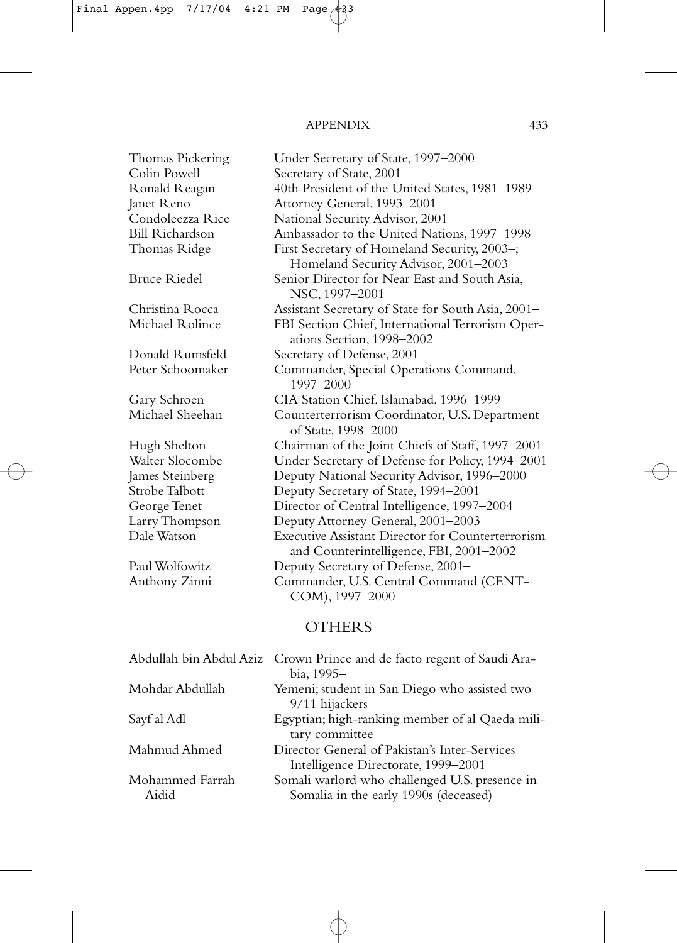| Thomas Pickering        | Under Secretary of State, 1997-2000                                                          |
|-------------------------|----------------------------------------------------------------------------------------------|
| Colin Powell            | Secretary of State, 2001-                                                                    |
| Ronald Reagan           | 40th President of the United States, 1981-1989                                               |
| Janet Reno              | Attorney General, 1993-2001                                                                  |
| Condoleezza Rice        | National Security Advisor, 2001-                                                             |
| <b>Bill Richardson</b>  | Ambassador to the United Nations, 1997-1998                                                  |
| Thomas Ridge            | First Secretary of Homeland Security, 2003-;                                                 |
|                         | Homeland Security Advisor, 2001-2003                                                         |
| Bruce Riedel            | Senior Director for Near East and South Asia,<br>NSC, 1997-2001                              |
| Christina Rocca         | Assistant Secretary of State for South Asia, 2001-                                           |
| Michael Rolince         | FBI Section Chief, International Terrorism Oper-<br>ations Section, 1998-2002                |
| Donald Rumsfeld         | Secretary of Defense, 2001-                                                                  |
| Peter Schoomaker        | Commander, Special Operations Command,                                                       |
|                         | 1997-2000                                                                                    |
| Gary Schroen            | CIA Station Chief, Islamabad, 1996-1999                                                      |
| Michael Sheehan         | Counterterrorism Coordinator, U.S. Department<br>of State, 1998-2000                         |
| Hugh Shelton            | Chairman of the Joint Chiefs of Staff, 1997-2001                                             |
| Walter Slocombe         | Under Secretary of Defense for Policy, 1994-2001                                             |
| James Steinberg         | Deputy National Security Advisor, 1996-2000                                                  |
| Strobe Talbott          | Deputy Secretary of State, 1994-2001                                                         |
| George Tenet            | Director of Central Intelligence, 1997-2004                                                  |
| Larry Thompson          | Deputy Attorney General, 2001-2003                                                           |
| Dale Watson             | Executive Assistant Director for Counterterrorism<br>and Counterintelligence, FBI, 2001-2002 |
| Paul Wolfowitz          | Deputy Secretary of Defense, 2001-                                                           |
| Anthony Zinni           | Commander, U.S. Central Command (CENT-<br>COM), 1997-2000                                    |
|                         | <b>OTHERS</b>                                                                                |
| Abdullah bin Abdul Aziz | Crown Prince and de facto regent of Saudi Ara-                                               |
|                         | bia, 1995-                                                                                   |
| Mohdar Abdullah         | Yemeni; student in San Diego who assisted two<br>9/11 hijackers                              |
| Sayf al Adl             | Egyptian; high-ranking member of al Qaeda mili-                                              |
|                         | tary committee                                                                               |
| Mahmud Ahmed            | Director General of Pakistan's Inter-Services                                                |
|                         | Intelligence Directorate, 1999-2001                                                          |
| Mohammed Farrah         | Somali warlord who challenged U.S. presence in                                               |

Aidid Somalia in the early 1990s (deceased)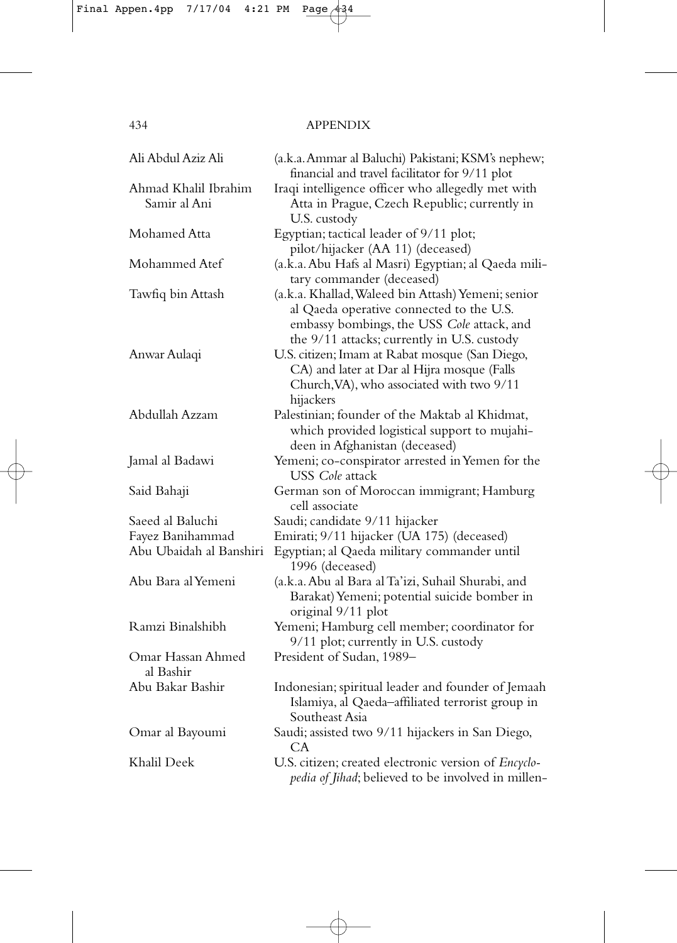| Ali Abdul Aziz Ali                   | (a.k.a. Ammar al Baluchi) Pakistani; KSM's nephew;<br>financial and travel facilitator for 9/11 plot                                                                                        |
|--------------------------------------|---------------------------------------------------------------------------------------------------------------------------------------------------------------------------------------------|
| Ahmad Khalil Ibrahim<br>Samir al Ani | Iraqi intelligence officer who allegedly met with<br>Atta in Prague, Czech Republic; currently in<br>U.S. custody                                                                           |
| Mohamed Atta                         | Egyptian; tactical leader of 9/11 plot;<br>pilot/hijacker (AA 11) (deceased)                                                                                                                |
| Mohammed Atef                        | (a.k.a. Abu Hafs al Masri) Egyptian; al Qaeda mili-<br>tary commander (deceased)                                                                                                            |
| Tawfiq bin Attash                    | (a.k.a. Khallad, Waleed bin Attash) Yemeni; senior<br>al Qaeda operative connected to the U.S.<br>embassy bombings, the USS Cole attack, and<br>the 9/11 attacks; currently in U.S. custody |
| Anwar Aulaqi                         | U.S. citizen; Imam at Rabat mosque (San Diego,<br>CA) and later at Dar al Hijra mosque (Falls<br>Church, VA), who associated with two 9/11<br>hijackers                                     |
| Abdullah Azzam                       | Palestinian; founder of the Maktab al Khidmat,<br>which provided logistical support to mujahi-<br>deen in Afghanistan (deceased)                                                            |
| Jamal al Badawi                      | Yemeni; co-conspirator arrested in Yemen for the<br>USS <i>Cole</i> attack                                                                                                                  |
| Said Bahaji                          | German son of Moroccan immigrant; Hamburg<br>cell associate                                                                                                                                 |
| Saeed al Baluchi                     | Saudi; candidate 9/11 hijacker                                                                                                                                                              |
| Fayez Banihammad                     | Emirati; 9/11 hijacker (UA 175) (deceased)                                                                                                                                                  |
| Abu Ubaidah al Banshiri              | Egyptian; al Qaeda military commander until<br>1996 (deceased)                                                                                                                              |
| Abu Bara al Yemeni                   | (a.k.a. Abu al Bara al Ta'izi, Suhail Shurabi, and<br>Barakat) Yemeni; potential suicide bomber in<br>original 9/11 plot                                                                    |
| Ramzi Binalshibh                     | Yemeni; Hamburg cell member; coordinator for<br>9/11 plot; currently in U.S. custody                                                                                                        |
| Omar Hassan Ahmed<br>al Bashir       | President of Sudan, 1989-                                                                                                                                                                   |
| Abu Bakar Bashir                     | Indonesian; spiritual leader and founder of Jemaah<br>Islamiya, al Qaeda-affiliated terrorist group in<br>Southeast Asia                                                                    |
| Omar al Bayoumi                      | Saudi; assisted two 9/11 hijackers in San Diego,<br>СA                                                                                                                                      |
| Khalil Deek                          | U.S. citizen; created electronic version of Encyclo-<br>pedia of Jihad; believed to be involved in millen-                                                                                  |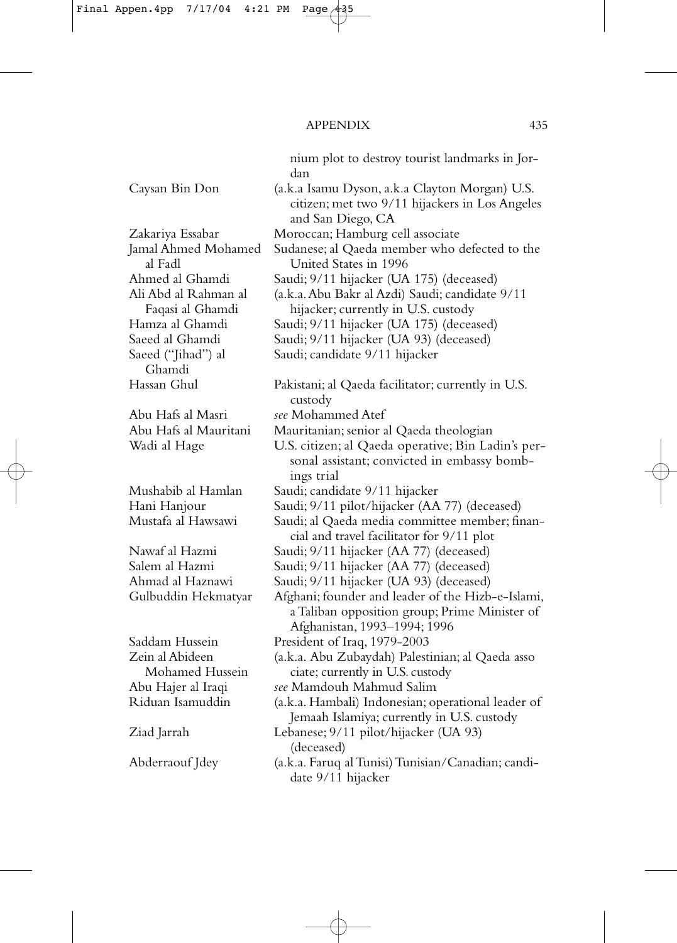nium plot to destroy tourist landmarks in Jordan Caysan Bin Don (a.k.a Isamu Dyson, a.k.a Clayton Morgan) U.S. citizen; met two 9/11 hijackers in Los Angeles and San Diego, CA Zakariya Essabar Moroccan; Hamburg cell associate Jamal Ahmed Mohamed Sudanese; al Qaeda member who defected to the al Fadl United States in 1996 Ahmed al Ghamdi Saudi; 9/11 hijacker (UA 175) (deceased) Ali Abd al Rahman al (a.k.a.Abu Bakr al Azdi) Saudi; candidate 9/11 Faqasi al Ghamdi hijacker; currently in U.S. custody Hamza al Ghamdi Saudi; 9/11 hijacker (UA 175) (deceased) Saeed al Ghamdi Saudi; 9/11 hijacker (UA 93) (deceased)<br>Saeed ("Jihad") al Saudi; candidate 9/11 hijacker Saudi; candidate 9/11 hijacker Ghamdi Hassan Ghul Pakistani; al Qaeda facilitator; currently in U.S. custody Abu Hafs al Masri *see* Mohammed Atef Abu Hafs al Mauritani Mauritanian; senior al Qaeda theologian Wadi al Hage U.S. citizen; al Qaeda operative; Bin Ladin's personal assistant; convicted in embassy bombings trial Mushabib al Hamlan Saudi; candidate 9/11 hijacker Hani Hanjour Saudi; 9/11 pilot/hijacker (AA 77) (deceased) Mustafa al Hawsawi Saudi; al Qaeda media committee member; financial and travel facilitator for 9/11 plot Nawaf al Hazmi Saudi; 9/11 hijacker (AA 77) (deceased) Salem al Hazmi Saudi; 9/11 hijacker (AA 77) (deceased) Ahmad al Haznawi Saudi; 9/11 hijacker (UA 93) (deceased) Gulbuddin Hekmatyar Afghani; founder and leader of the Hizb-e-Islami, a Taliban opposition group; Prime Minister of Afghanistan, 1993–1994; 1996 Saddam Hussein President of Iraq, 1979-2003 Zein al Abideen (a.k.a. Abu Zubaydah) Palestinian; al Qaeda asso Mohamed Hussein ciate; currently in U.S. custody Abu Hajer al Iraqi *see* Mamdouh Mahmud Salim Riduan Isamuddin (a.k.a. Hambali) Indonesian; operational leader of Jemaah Islamiya; currently in U.S. custody Ziad Jarrah Lebanese; 9/11 pilot/hijacker (UA 93) (deceased) Abderraouf Jdey (a.k.a. Faruq al Tunisi) Tunisian/Canadian; candidate 9/11 hijacker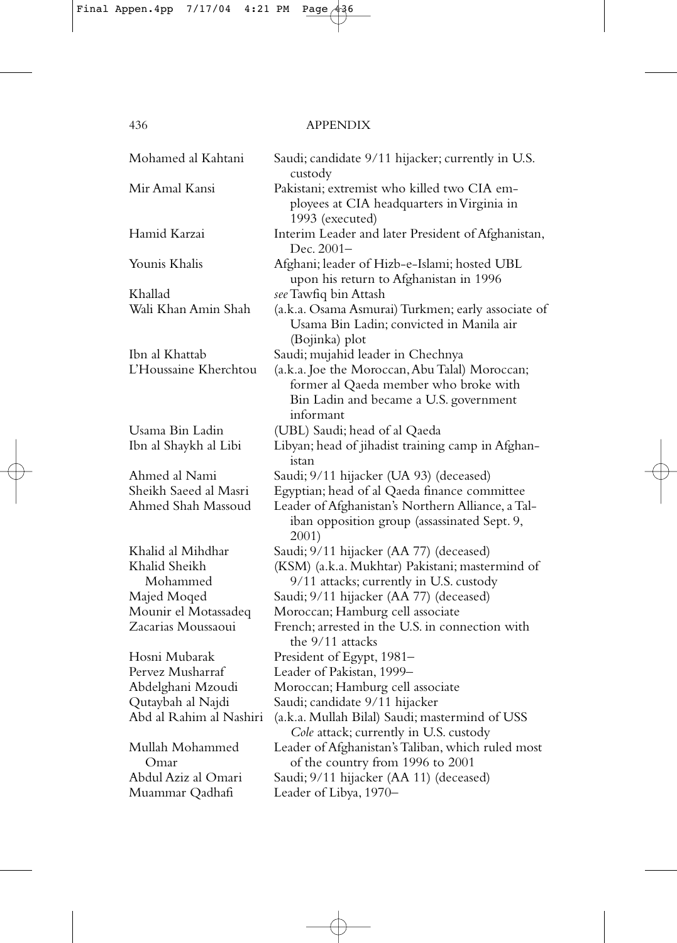| Mohamed al Kahtani        | Saudi; candidate 9/11 hijacker; currently in U.S.<br>custody                                                                                   |
|---------------------------|------------------------------------------------------------------------------------------------------------------------------------------------|
| Mir Amal Kansi            | Pakistani; extremist who killed two CIA em-<br>ployees at CIA headquarters in Virginia in<br>1993 (executed)                                   |
| Hamid Karzai              | Interim Leader and later President of Afghanistan,<br>Dec. 2001–                                                                               |
| Younis Khalis             | Afghani; leader of Hizb-e-Islami; hosted UBL<br>upon his return to Afghanistan in 1996                                                         |
| Khallad                   | see Tawfiq bin Attash                                                                                                                          |
| Wali Khan Amin Shah       | (a.k.a. Osama Asmurai) Turkmen; early associate of<br>Usama Bin Ladin; convicted in Manila air<br>(Bojinka) plot                               |
| Ibn al Khattab            | Saudi; mujahid leader in Chechnya                                                                                                              |
| L'Houssaine Kherchtou     | (a.k.a. Joe the Moroccan, Abu Talal) Moroccan;<br>former al Qaeda member who broke with<br>Bin Ladin and became a U.S. government<br>informant |
| Usama Bin Ladin           | (UBL) Saudi; head of al Qaeda                                                                                                                  |
| Ibn al Shaykh al Libi     | Libyan; head of jihadist training camp in Afghan-<br>istan                                                                                     |
| Ahmed al Nami             | Saudi; 9/11 hijacker (UA 93) (deceased)                                                                                                        |
| Sheikh Saeed al Masri     | Egyptian; head of al Qaeda finance committee                                                                                                   |
| Ahmed Shah Massoud        | Leader of Afghanistan's Northern Alliance, a Tal-<br>iban opposition group (assassinated Sept. 9,<br>2001)                                     |
| Khalid al Mihdhar         | Saudi; 9/11 hijacker (AA 77) (deceased)                                                                                                        |
| Khalid Sheikh<br>Mohammed | (KSM) (a.k.a. Mukhtar) Pakistani; mastermind of<br>9/11 attacks; currently in U.S. custody                                                     |
| Majed Moqed               | Saudi; 9/11 hijacker (AA 77) (deceased)                                                                                                        |
| Mounir el Motassadeq      | Moroccan; Hamburg cell associate                                                                                                               |
| Zacarias Moussaoui        | French; arrested in the U.S. in connection with<br>the 9/11 attacks                                                                            |
| Hosni Mubarak             | President of Egypt, 1981-                                                                                                                      |
| Pervez Musharraf          | Leader of Pakistan, 1999-                                                                                                                      |
| Abdelghani Mzoudi         | Moroccan; Hamburg cell associate                                                                                                               |
| Qutaybah al Najdi         | Saudi; candidate 9/11 hijacker                                                                                                                 |
| Abd al Rahim al Nashiri   | (a.k.a. Mullah Bilal) Saudi; mastermind of USS<br>Cole attack; currently in U.S. custody                                                       |
| Mullah Mohammed<br>Omar   | Leader of Afghanistan's Taliban, which ruled most<br>of the country from 1996 to 2001                                                          |
| Abdul Aziz al Omari       | Saudi; 9/11 hijacker (AA 11) (deceased)                                                                                                        |
| Muammar Qadhafi           | Leader of Libya, 1970-                                                                                                                         |
|                           |                                                                                                                                                |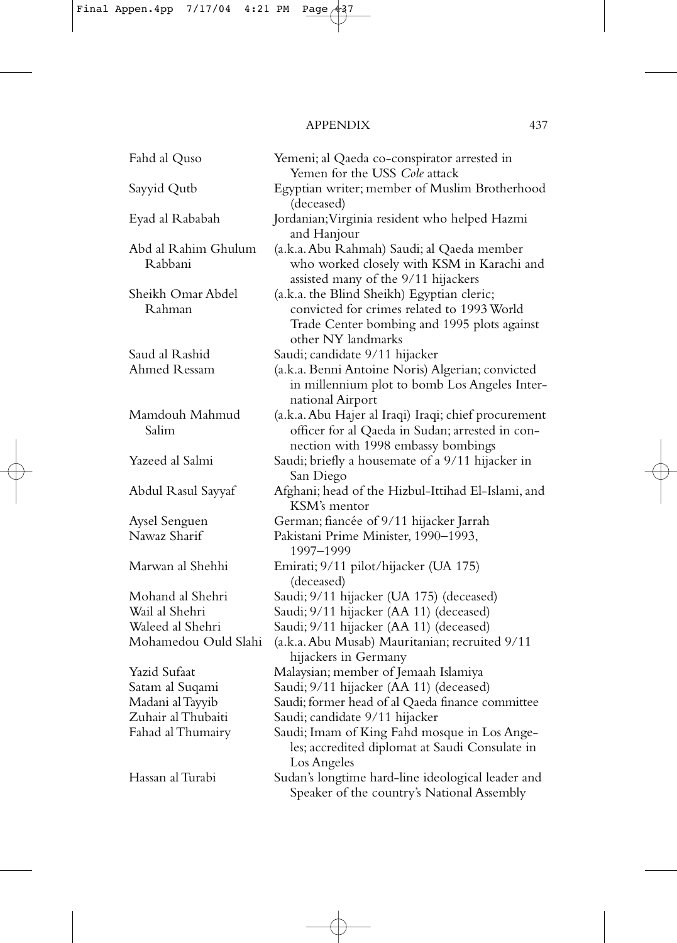| Fahd al Quso                   | Yemeni; al Qaeda co-conspirator arrested in<br>Yemen for the USS Cole attack                                                                                  |
|--------------------------------|---------------------------------------------------------------------------------------------------------------------------------------------------------------|
| Sayyid Qutb                    | Egyptian writer; member of Muslim Brotherhood                                                                                                                 |
| Eyad al Rababah                | (deceased)<br>Jordanian; Virginia resident who helped Hazmi                                                                                                   |
| Abd al Rahim Ghulum<br>Rabbani | and Hanjour<br>(a.k.a. Abu Rahmah) Saudi; al Qaeda member<br>who worked closely with KSM in Karachi and<br>assisted many of the 9/11 hijackers                |
| Sheikh Omar Abdel<br>Rahman    | (a.k.a. the Blind Sheikh) Egyptian cleric;<br>convicted for crimes related to 1993 World<br>Trade Center bombing and 1995 plots against<br>other NY landmarks |
| Saud al Rashid<br>Ahmed Ressam | Saudi; candidate 9/11 hijacker<br>(a.k.a. Benni Antoine Noris) Algerian; convicted<br>in millennium plot to bomb Los Angeles Inter-<br>national Airport       |
| Mamdouh Mahmud<br>Salim        | (a.k.a. Abu Hajer al Iraqi) Iraqi; chief procurement<br>officer for al Qaeda in Sudan; arrested in con-<br>nection with 1998 embassy bombings                 |
| Yazeed al Salmi                | Saudi; briefly a housemate of a 9/11 hijacker in<br>San Diego                                                                                                 |
| Abdul Rasul Sayyaf             | Afghani; head of the Hizbul-Ittihad El-Islami, and<br>KSM's mentor                                                                                            |
| Aysel Senguen<br>Nawaz Sharif  | German; fiancée of 9/11 hijacker Jarrah<br>Pakistani Prime Minister, 1990-1993,                                                                               |
|                                | 1997-1999                                                                                                                                                     |
| Marwan al Shehhi               | Emirati; 9/11 pilot/hijacker (UA 175)<br>(deceased)                                                                                                           |
| Mohand al Shehri               | Saudi; 9/11 hijacker (UA 175) (deceased)                                                                                                                      |
| Wail al Shehri                 | Saudi; 9/11 hijacker (AA 11) (deceased)                                                                                                                       |
| Waleed al Shehri               | Saudi; 9/11 hijacker (AA 11) (deceased)                                                                                                                       |
| Mohamedou Ould Slahi           | (a.k.a. Abu Musab) Mauritanian; recruited 9/11<br>hijackers in Germany                                                                                        |
| Yazid Sufaat                   | Malaysian; member of Jemaah Islamiya                                                                                                                          |
| Satam al Suqami                | Saudi; 9/11 hijacker (AA 11) (deceased)                                                                                                                       |
| Madani al Tayyib               | Saudi; former head of al Qaeda finance committee                                                                                                              |
| Zuhair al Thubaiti             | Saudi; candidate 9/11 hijacker                                                                                                                                |
| Fahad al Thumairy              | Saudi; Imam of King Fahd mosque in Los Ange-<br>les; accredited diplomat at Saudi Consulate in<br>Los Angeles                                                 |
| Hassan al Turabi               | Sudan's longtime hard-line ideological leader and<br>Speaker of the country's National Assembly                                                               |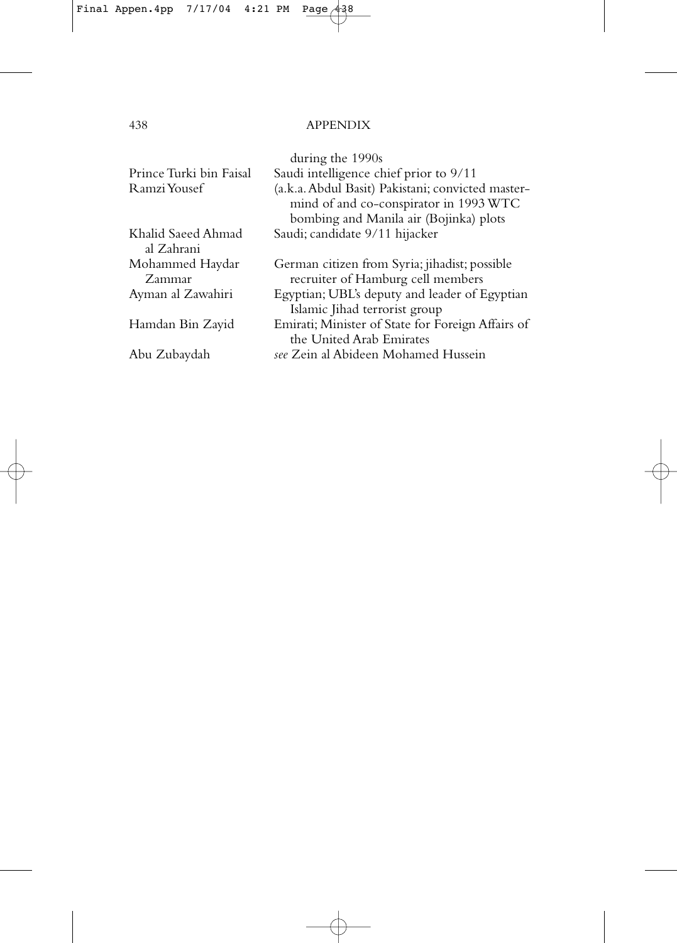| Prince Turki bin Faisal<br>Ramzi Yousef | during the 1990s<br>Saudi intelligence chief prior to 9/11<br>(a.k.a. Abdul Basit) Pakistani; convicted master-<br>mind of and co-conspirator in 1993 WTC<br>bombing and Manila air (Bojinka) plots |
|-----------------------------------------|-----------------------------------------------------------------------------------------------------------------------------------------------------------------------------------------------------|
| Khalid Saeed Ahmad                      | Saudi; candidate 9/11 hijacker                                                                                                                                                                      |
| al Zahrani                              |                                                                                                                                                                                                     |
| Mohammed Haydar                         | German citizen from Syria; jihadist; possible                                                                                                                                                       |
| Zammar                                  | recruiter of Hamburg cell members                                                                                                                                                                   |
| Ayman al Zawahiri                       | Egyptian; UBL's deputy and leader of Egyptian                                                                                                                                                       |
|                                         | Islamic Jihad terrorist group                                                                                                                                                                       |
| Hamdan Bin Zayid                        | Emirati; Minister of State for Foreign Affairs of                                                                                                                                                   |
|                                         | the United Arab Emirates                                                                                                                                                                            |
| Abu Zubaydah                            | see Zein al Abideen Mohamed Hussein                                                                                                                                                                 |
|                                         |                                                                                                                                                                                                     |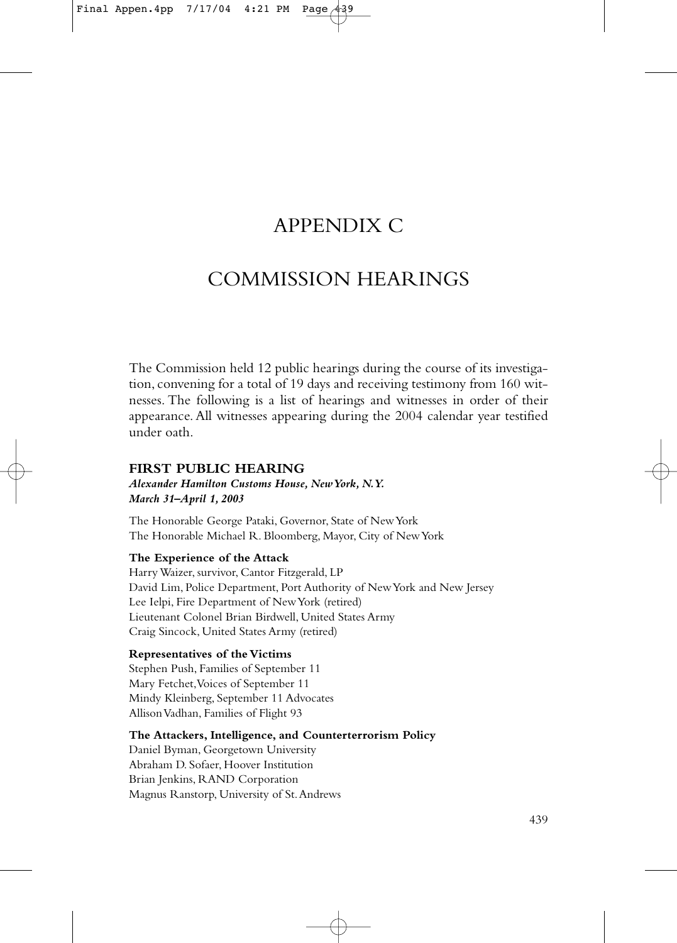# APPENDIX C

# COMMISSION HEARINGS

The Commission held 12 public hearings during the course of its investigation, convening for a total of 19 days and receiving testimony from 160 witnesses. The following is a list of hearings and witnesses in order of their appearance. All witnesses appearing during the 2004 calendar year testified under oath.

# **FIRST PUBLIC HEARING**

#### *Alexander Hamilton Customs House, New York, N.Y. March 31–April 1, 2003*

The Honorable George Pataki, Governor, State of New York The Honorable Michael R. Bloomberg, Mayor, City of New York

# **The Experience of the Attack**

Harry Waizer, survivor, Cantor Fitzgerald, LP David Lim, Police Department, Port Authority of New York and New Jersey Lee Ielpi, Fire Department of New York (retired) Lieutenant Colonel Brian Birdwell, United States Army Craig Sincock, United States Army (retired)

# **Representatives of the Victims**

Stephen Push, Families of September 11 Mary Fetchet,Voices of September 11 Mindy Kleinberg, September 11 Advocates Allison Vadhan, Families of Flight 93

# **The Attackers, Intelligence, and Counterterrorism Policy**

Daniel Byman, Georgetown University Abraham D. Sofaer, Hoover Institution Brian Jenkins, RAND Corporation Magnus Ranstorp, University of St.Andrews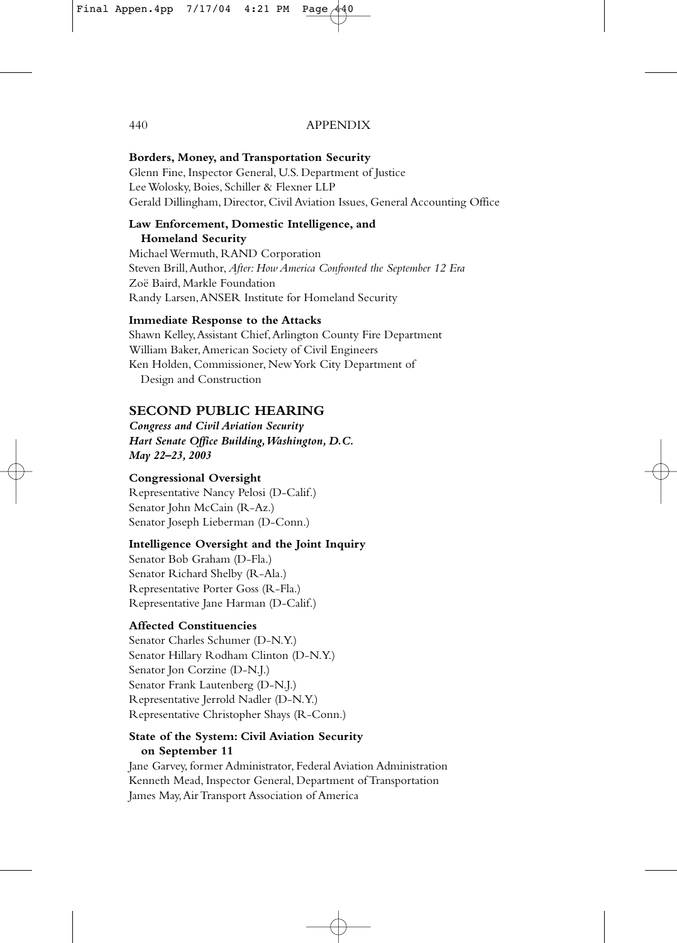# **Borders, Money, and Transportation Security**

Glenn Fine, Inspector General, U.S. Department of Justice Lee Wolosky, Boies, Schiller & Flexner LLP Gerald Dillingham, Director, Civil Aviation Issues, General Accounting Office

#### **Law Enforcement, Domestic Intelligence, and Homeland Security**

Michael Wermuth, RAND Corporation Steven Brill,Author, *After: How America Confronted the September 12 Era* Zoë Baird, Markle Foundation Randy Larsen,ANSER Institute for Homeland Security

# **Immediate Response to the Attacks**

Shawn Kelley,Assistant Chief,Arlington County Fire Department William Baker,American Society of Civil Engineers Ken Holden, Commissioner, New York City Department of Design and Construction

# **SECOND PUBLIC HEARING**

*Congress and Civil Aviation Security Hart Senate Office Building,Washington, D.C. May 22–23, 2003*

# **Congressional Oversight**

Representative Nancy Pelosi (D-Calif.) Senator John McCain (R-Az.) Senator Joseph Lieberman (D-Conn.)

# **Intelligence Oversight and the Joint Inquiry**

Senator Bob Graham (D-Fla.) Senator Richard Shelby (R-Ala.) Representative Porter Goss (R-Fla.) Representative Jane Harman (D-Calif.)

# **Affected Constituencies**

Senator Charles Schumer (D-N.Y.) Senator Hillary Rodham Clinton (D-N.Y.) Senator Jon Corzine (D-N.J.) Senator Frank Lautenberg (D-N.J.) Representative Jerrold Nadler (D-N.Y.) Representative Christopher Shays (R-Conn.)

# **State of the System: Civil Aviation Security on September 11**

Jane Garvey, former Administrator, Federal Aviation Administration Kenneth Mead, Inspector General, Department of Transportation James May,Air Transport Association of America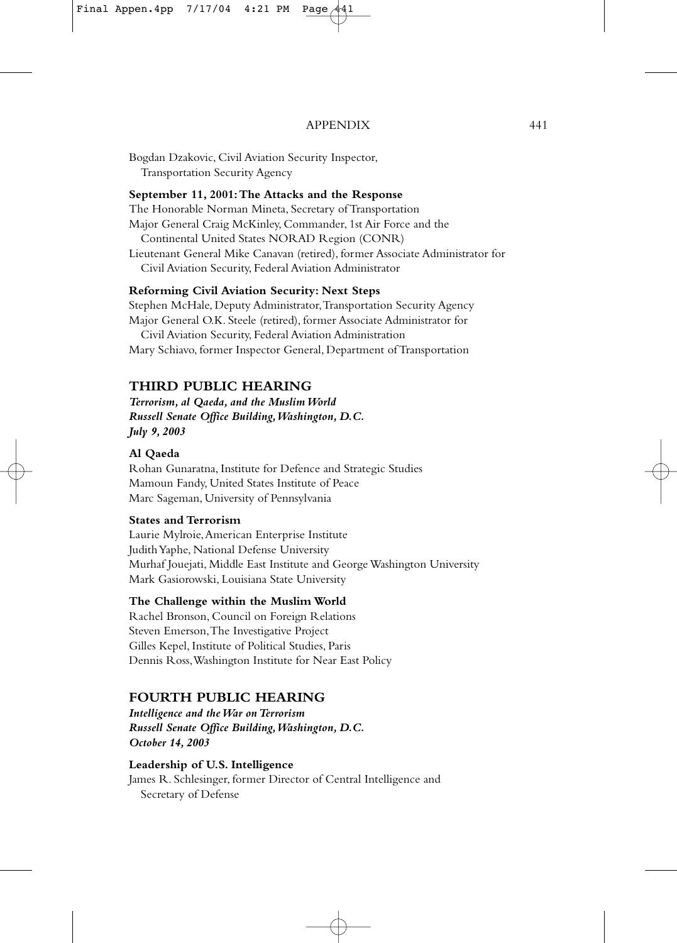Bogdan Dzakovic, Civil Aviation Security Inspector, Transportation Security Agency

#### **September 11, 2001:The Attacks and the Response**

The Honorable Norman Mineta, Secretary of Transportation Major General Craig McKinley, Commander, 1st Air Force and the Continental United States NORAD Region (CONR) Lieutenant General Mike Canavan (retired), former Associate Administrator for Civil Aviation Security, Federal Aviation Administrator

# **Reforming Civil Aviation Security: Next Steps**

Stephen McHale, Deputy Administrator,Transportation Security Agency Major General O.K. Steele (retired), former Associate Administrator for

Civil Aviation Security, Federal Aviation Administration Mary Schiavo, former Inspector General, Department of Transportation

# **THIRD PUBLIC HEARING**

*Terrorism, al Qaeda, and the Muslim World Russell Senate Office Building,Washington, D.C. July 9, 2003*

#### **Al Qaeda**

Rohan Gunaratna, Institute for Defence and Strategic Studies Mamoun Fandy, United States Institute of Peace Marc Sageman, University of Pennsylvania

### **States and Terrorism**

Laurie Mylroie,American Enterprise Institute Judith Yaphe, National Defense University Murhaf Jouejati, Middle East Institute and George Washington University Mark Gasiorowski, Louisiana State University

#### **The Challenge within the Muslim World**

Rachel Bronson, Council on Foreign Relations Steven Emerson,The Investigative Project Gilles Kepel, Institute of Political Studies, Paris Dennis Ross,Washington Institute for Near East Policy

#### **FOURTH PUBLIC HEARING**

*Intelligence and the War on Terrorism Russell Senate Office Building,Washington, D.C. October 14, 2003*

# **Leadership of U.S. Intelligence**

James R. Schlesinger, former Director of Central Intelligence and Secretary of Defense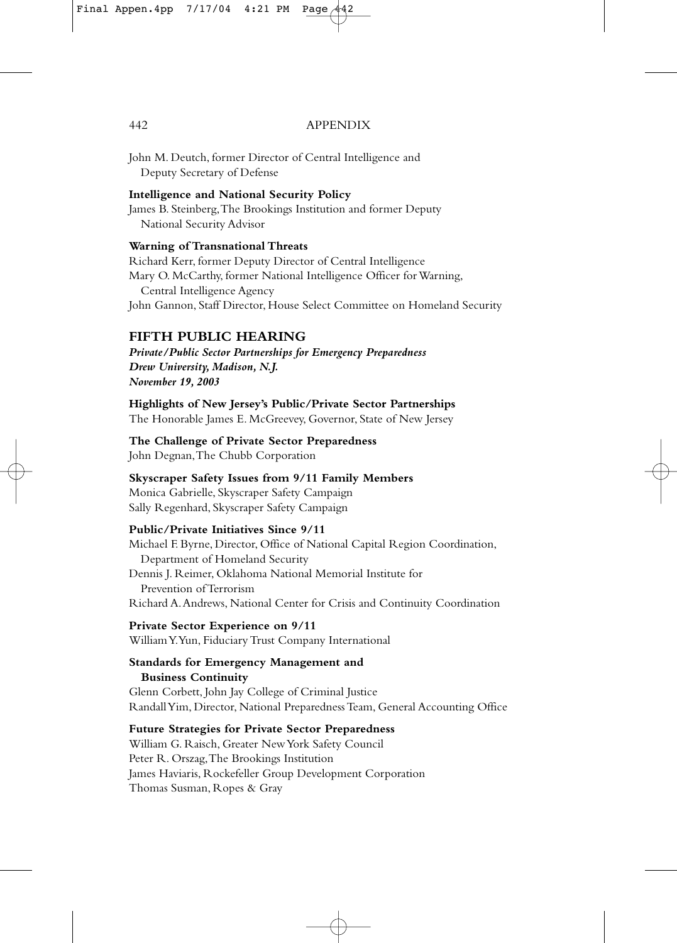John M. Deutch, former Director of Central Intelligence and Deputy Secretary of Defense

#### **Intelligence and National Security Policy**

James B. Steinberg,The Brookings Institution and former Deputy National Security Advisor

### **Warning of Transnational Threats**

Richard Kerr, former Deputy Director of Central Intelligence Mary O. McCarthy, former National Intelligence Officer for Warning, Central Intelligence Agency John Gannon, Staff Director, House Select Committee on Homeland Security

# **FIFTH PUBLIC HEARING**

*Private/Public Sector Partnerships for Emergency Preparedness Drew University, Madison, N.J. November 19, 2003*

**Highlights of New Jersey's Public/Private Sector Partnerships** The Honorable James E. McGreevey, Governor, State of New Jersey

#### **The Challenge of Private Sector Preparedness**

John Degnan,The Chubb Corporation

#### **Skyscraper Safety Issues from 9/11 Family Members**

Monica Gabrielle, Skyscraper Safety Campaign Sally Regenhard, Skyscraper Safety Campaign

#### **Public/Private Initiatives Since 9/11**

Michael F. Byrne, Director, Office of National Capital Region Coordination, Department of Homeland Security Dennis J. Reimer, Oklahoma National Memorial Institute for Prevention of Terrorism Richard A.Andrews, National Center for Crisis and Continuity Coordination

**Private Sector Experience on 9/11** William Y.Yun, Fiduciary Trust Company International

# **Standards for Emergency Management and Business Continuity** Glenn Corbett, John Jay College of Criminal Justice

Randall Yim, Director, National Preparedness Team, General Accounting Office

# **Future Strategies for Private Sector Preparedness**

William G. Raisch, Greater New York Safety Council Peter R. Orszag,The Brookings Institution James Haviaris, Rockefeller Group Development Corporation Thomas Susman, Ropes & Gray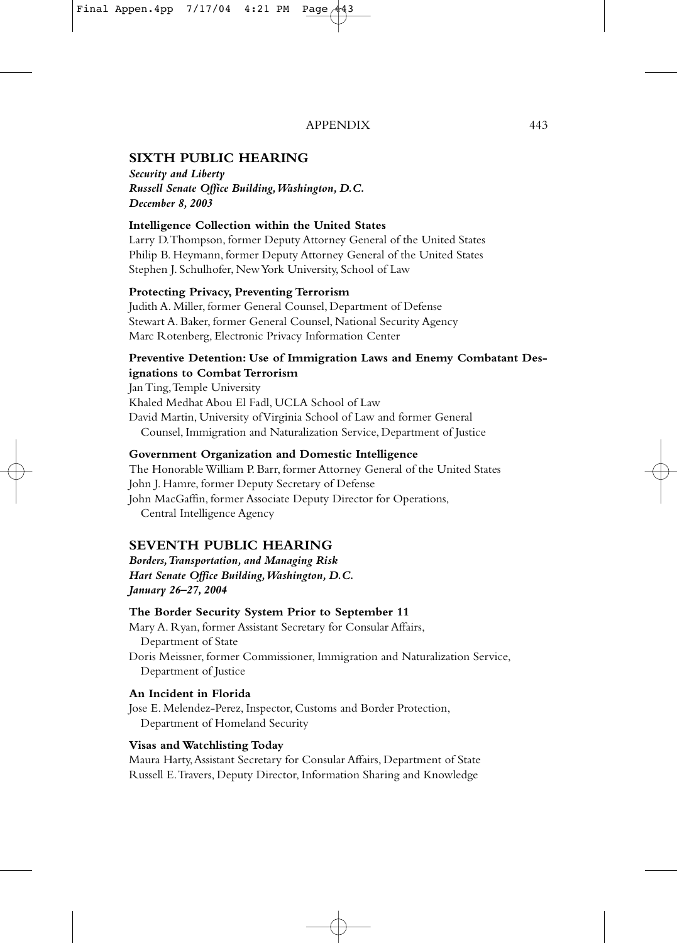# **SIXTH PUBLIC HEARING**

*Security and Liberty Russell Senate Office Building,Washington, D.C. December 8, 2003*

# **Intelligence Collection within the United States**

Larry D.Thompson, former Deputy Attorney General of the United States Philip B. Heymann, former Deputy Attorney General of the United States Stephen J. Schulhofer, New York University, School of Law

#### **Protecting Privacy, Preventing Terrorism**

Judith A. Miller, former General Counsel, Department of Defense Stewart A. Baker, former General Counsel, National Security Agency Marc Rotenberg, Electronic Privacy Information Center

# **Preventive Detention: Use of Immigration Laws and Enemy Combatant Designations to Combat Terrorism**

Jan Ting,Temple University Khaled Medhat Abou El Fadl, UCLA School of Law David Martin, University of Virginia School of Law and former General Counsel, Immigration and Naturalization Service, Department of Justice

#### **Government Organization and Domestic Intelligence**

The Honorable William P. Barr, former Attorney General of the United States John J. Hamre, former Deputy Secretary of Defense John MacGaffin, former Associate Deputy Director for Operations, Central Intelligence Agency

# **SEVENTH PUBLIC HEARING**

*Borders,Transportation, and Managing Risk Hart Senate Office Building,Washington, D.C. January 26–27, 2004*

#### **The Border Security System Prior to September 11**

Mary A. Ryan, former Assistant Secretary for Consular Affairs, Department of State Doris Meissner, former Commissioner, Immigration and Naturalization Service, Department of Justice

# **An Incident in Florida**

Jose E. Melendez-Perez, Inspector, Customs and Border Protection, Department of Homeland Security

#### **Visas and Watchlisting Today**

Maura Harty,Assistant Secretary for Consular Affairs, Department of State Russell E.Travers, Deputy Director, Information Sharing and Knowledge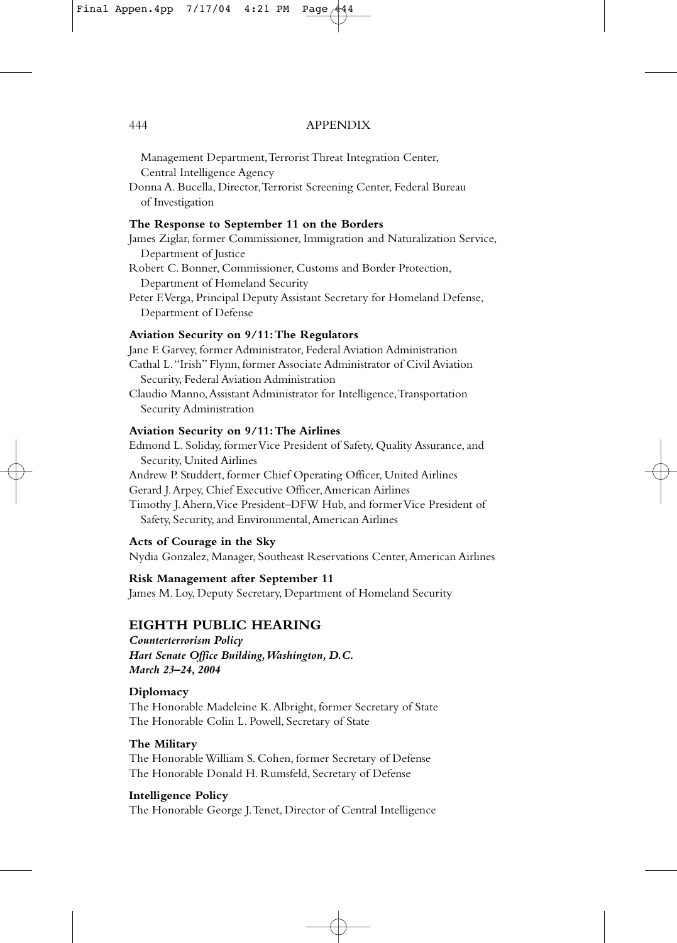Management Department,Terrorist Threat Integration Center, Central Intelligence Agency

Donna A. Bucella, Director,Terrorist Screening Center, Federal Bureau of Investigation

#### **The Response to September 11 on the Borders**

- James Ziglar, former Commissioner, Immigration and Naturalization Service, Department of Justice
- Robert C. Bonner, Commissioner, Customs and Border Protection, Department of Homeland Security
- Peter F.Verga, Principal Deputy Assistant Secretary for Homeland Defense, Department of Defense

#### **Aviation Security on 9/11:The Regulators**

Jane F. Garvey, former Administrator, Federal Aviation Administration Cathal L."Irish" Flynn, former Associate Administrator of Civil Aviation Security, Federal Aviation Administration Claudio Manno,Assistant Administrator for Intelligence,Transportation Security Administration

#### **Aviation Security on 9/11:The Airlines**

Edmond L. Soliday, former Vice President of Safety, Quality Assurance, and Security, United Airlines Andrew P. Studdert, former Chief Operating Officer, United Airlines Gerard J.Arpey, Chief Executive Officer,American Airlines Timothy J.Ahern,Vice President–DFW Hub, and former Vice President of Safety, Security, and Environmental,American Airlines

#### **Acts of Courage in the Sky**

Nydia Gonzalez, Manager, Southeast Reservations Center,American Airlines

#### **Risk Management after September 11**

James M. Loy, Deputy Secretary, Department of Homeland Security

# **EIGHTH PUBLIC HEARING**

*Counterterrorism Policy Hart Senate Office Building,Washington, D.C. March 23–24, 2004*

#### **Diplomacy**

The Honorable Madeleine K.Albright, former Secretary of State The Honorable Colin L. Powell, Secretary of State

# **The Military**

The Honorable William S. Cohen, former Secretary of Defense The Honorable Donald H. Rumsfeld, Secretary of Defense

#### **Intelligence Policy**

The Honorable George J.Tenet, Director of Central Intelligence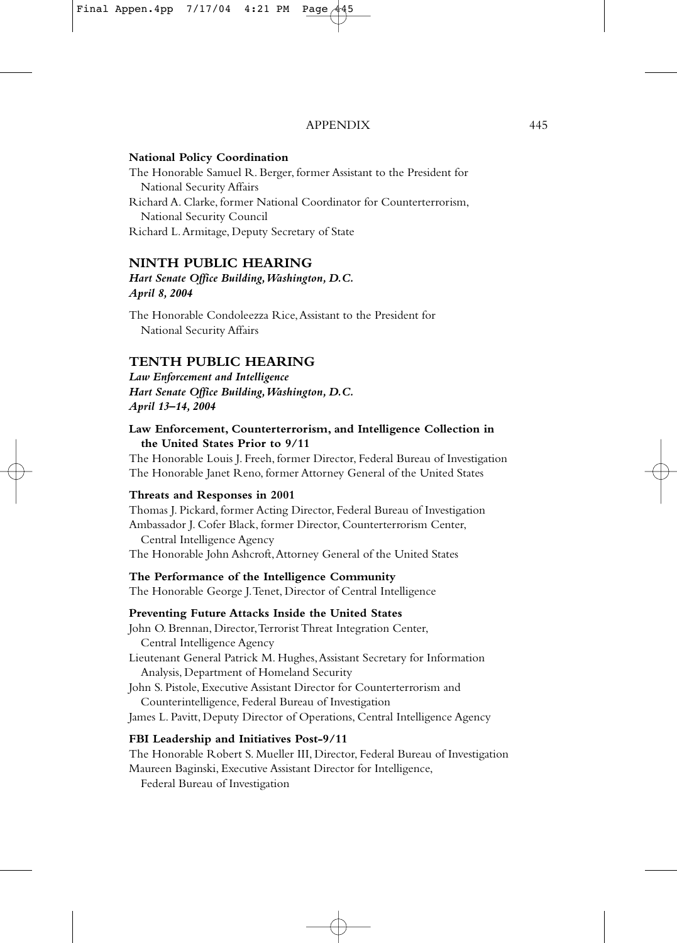#### **National Policy Coordination**

The Honorable Samuel R. Berger, former Assistant to the President for National Security Affairs Richard A. Clarke, former National Coordinator for Counterterrorism, National Security Council Richard L.Armitage, Deputy Secretary of State

# **NINTH PUBLIC HEARING**

*Hart Senate Office Building,Washington, D.C. April 8, 2004*

The Honorable Condoleezza Rice,Assistant to the President for National Security Affairs

# **TENTH PUBLIC HEARING**

*Law Enforcement and Intelligence Hart Senate Office Building,Washington, D.C. April 13–14, 2004*

#### **Law Enforcement, Counterterrorism, and Intelligence Collection in the United States Prior to 9/11**

The Honorable Louis J. Freeh, former Director, Federal Bureau of Investigation The Honorable Janet Reno, former Attorney General of the United States

#### **Threats and Responses in 2001**

Thomas J. Pickard, former Acting Director, Federal Bureau of Investigation Ambassador J. Cofer Black, former Director, Counterterrorism Center, Central Intelligence Agency The Honorable John Ashcroft,Attorney General of the United States

#### **The Performance of the Intelligence Community**

The Honorable George J.Tenet, Director of Central Intelligence

#### **Preventing Future Attacks Inside the United States**

John O. Brennan, Director, Terrorist Threat Integration Center, Central Intelligence Agency Lieutenant General Patrick M. Hughes,Assistant Secretary for Information Analysis, Department of Homeland Security John S. Pistole, Executive Assistant Director for Counterterrorism and Counterintelligence, Federal Bureau of Investigation James L. Pavitt, Deputy Director of Operations, Central Intelligence Agency

#### **FBI Leadership and Initiatives Post-9/11**

The Honorable Robert S. Mueller III, Director, Federal Bureau of Investigation Maureen Baginski, Executive Assistant Director for Intelligence,

Federal Bureau of Investigation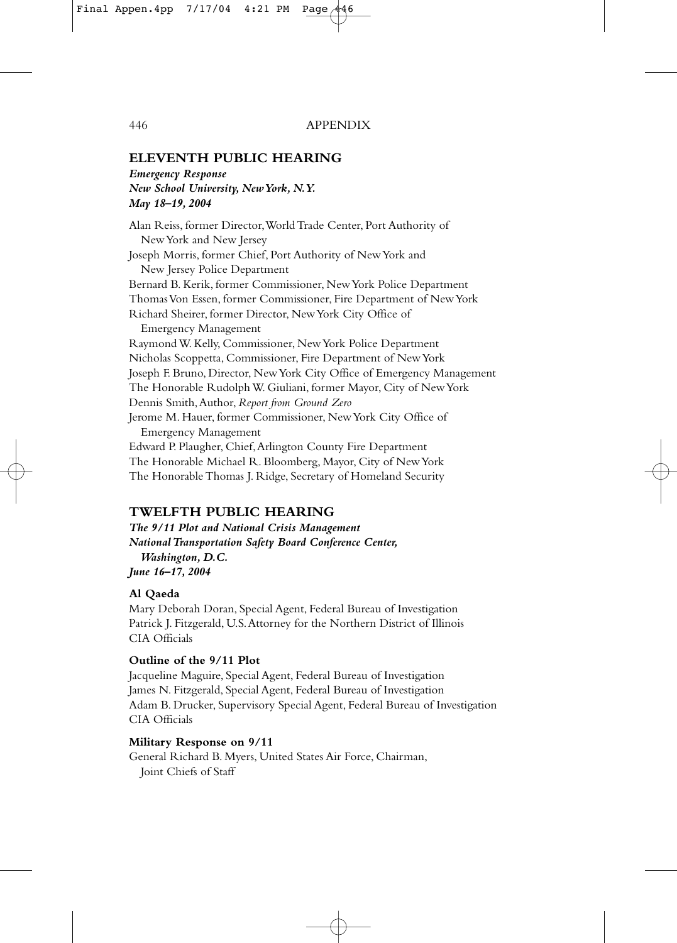# **ELEVENTH PUBLIC HEARING**

*Emergency Response New School University, New York, N.Y. May 18–19, 2004*

Alan Reiss, former Director,World Trade Center, Port Authority of New York and New Jersey Joseph Morris, former Chief, Port Authority of New York and New Jersey Police Department Bernard B. Kerik, former Commissioner, New York Police Department Thomas Von Essen, former Commissioner, Fire Department of New York Richard Sheirer, former Director, New York City Office of Emergency Management Raymond W. Kelly, Commissioner, New York Police Department Nicholas Scoppetta, Commissioner, Fire Department of New York Joseph F. Bruno, Director, New York City Office of Emergency Management The Honorable Rudolph W. Giuliani, former Mayor, City of New York Dennis Smith,Author, *Report from Ground Zero* Jerome M. Hauer, former Commissioner, New York City Office of Emergency Management Edward P. Plaugher, Chief,Arlington County Fire Department The Honorable Michael R. Bloomberg, Mayor, City of New York The Honorable Thomas J. Ridge, Secretary of Homeland Security

# **TWELFTH PUBLIC HEARING**

*The 9/11 Plot and National Crisis Management National Transportation Safety Board Conference Center, Washington, D.C. June 16–17, 2004*

#### **Al Qaeda**

Mary Deborah Doran, Special Agent, Federal Bureau of Investigation Patrick J. Fitzgerald, U.S.Attorney for the Northern District of Illinois CIA Officials

#### **Outline of the 9/11 Plot**

Jacqueline Maguire, Special Agent, Federal Bureau of Investigation James N. Fitzgerald, Special Agent, Federal Bureau of Investigation Adam B. Drucker, Supervisory Special Agent, Federal Bureau of Investigation CIA Officials

#### **Military Response on 9/11**

General Richard B. Myers, United States Air Force, Chairman, Joint Chiefs of Staff